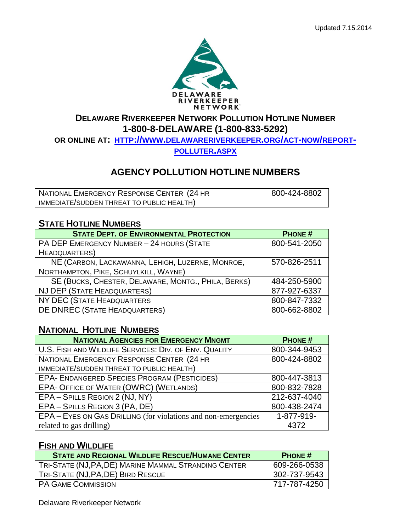

## **DELAWARE RIVERKEEPER NETWORK POLLUTION HOTLINE NUMBER 1-800-8-DELAWARE (1-800-833-5292)**

**OR ONLINE AT: HTTP://WWW.[DELAWARERIVERKEEPER](http://www.delawareriverkeeper.org/act-now/report-polluter.aspx).ORG/ACT-NOW/REPORT-**

### **[POLLUTER](http://www.delawareriverkeeper.org/act-now/report-polluter.aspx).ASPX**

# **AGENCY POLLUTION HOTLINE NUMBERS**

| NATIONAL EMERGENCY RESPONSE CENTER (24 HR | 800-424-8802 |
|-------------------------------------------|--------------|
| IMMEDIATE/SUDDEN THREAT TO PUBLIC HEALTH) |              |

## **STATE HOTLINE NUMBERS**

| <b>STATE DEPT. OF ENVIRONMENTAL PROTECTION</b>      | <b>PHONE#</b> |
|-----------------------------------------------------|---------------|
| PA DEP EMERGENCY NUMBER - 24 HOURS (STATE           | 800-541-2050  |
| <b>HEADQUARTERS</b> )                               |               |
| NE (CARBON, LACKAWANNA, LEHIGH, LUZERNE, MONROE,    | 570-826-2511  |
| NORTHAMPTON, PIKE, SCHUYLKILL, WAYNE)               |               |
| SE (BUCKS, CHESTER, DELAWARE, MONTG., PHILA, BERKS) | 484-250-5900  |
| NJ DEP (STATE HEADQUARTERS)                         | 877-927-6337  |
| NY DEC (STATE HEADQUARTERS                          | 800-847-7332  |
| DE DNREC (STATE HEADQUARTERS)                       | 800-662-8802  |

# **NATIONAL HOTLINE NUMBERS**

| <b>NATIONAL AGENCIES FOR EMERGENCY MNGMT</b>                   | <b>PHONE#</b> |
|----------------------------------------------------------------|---------------|
| U.S. FISH AND WILDLIFE SERVICES: DIV. OF ENV. QUALITY          | 800-344-9453  |
| NATIONAL EMERGENCY RESPONSE CENTER (24 HR                      | 800-424-8802  |
| IMMEDIATE/SUDDEN THREAT TO PUBLIC HEALTH)                      |               |
| <b>EPA- ENDANGERED SPECIES PROGRAM (PESTICIDES)</b>            | 800-447-3813  |
| <b>EPA- OFFICE OF WATER (OWRC) (WETLANDS)</b>                  | 800-832-7828  |
| EPA - SPILLS REGION 2 (NJ, NY)                                 | 212-637-4040  |
| EPA - SPILLS REGION 3 (PA, DE)                                 | 800-438-2474  |
| EPA – EYES ON GAS DRILLING (for violations and non-emergencies | 1-877-919-    |
| related to gas drilling)                                       | 4372          |

#### **FISH AND WILDLIFE**

| <b>STATE AND REGIONAL WILDLIFE RESCUE/HUMANE CENTER</b> | <b>PHONE#</b> |
|---------------------------------------------------------|---------------|
| TRI-STATE (NJ, PA, DE) MARINE MAMMAL STRANDING CENTER   | 609-266-0538  |
| TRI-STATE (NJ, PA, DE) BIRD RESCUE                      | 302-737-9543  |
| <b>PA GAME COMMISSION</b>                               | 717-787-4250  |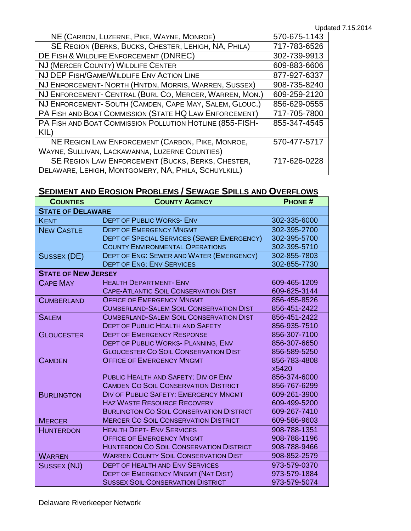| NE (CARBON, LUZERNE, PIKE, WAYNE, MONROE)                | 570-675-1143 |
|----------------------------------------------------------|--------------|
| SE REGION (BERKS, BUCKS, CHESTER, LEHIGH, NA, PHILA)     | 717-783-6526 |
| DE FISH & WILDLIFE ENFORCEMENT (DNREC)                   | 302-739-9913 |
| NJ (MERCER COUNTY) WILDLIFE CENTER                       | 609-883-6606 |
| NJ DEP FISH/GAME/WILDLIFE ENV ACTION LINE                | 877-927-6337 |
| NJ ENFORCEMENT- NORTH (HNTDN, MORRIS, WARREN, SUSSEX)    | 908-735-8240 |
| NJ ENFORCEMENT- CENTRAL (BURL CO, MERCER, WARREN, MON.)  | 609-259-2120 |
| NJ ENFORCEMENT- SOUTH (CAMDEN, CAPE MAY, SALEM, GLOUC.)  | 856-629-0555 |
| PA FISH AND BOAT COMMISSION (STATE HQ LAW ENFORCEMENT)   | 717-705-7800 |
| PA FISH AND BOAT COMMISSION POLLUTION HOTLINE (855-FISH- | 855-347-4545 |
| $KIL$ )                                                  |              |
| NE REGION LAW ENFORCEMENT (CARBON, PIKE, MONROE,         | 570-477-5717 |
| WAYNE, SULLIVAN, LACKAWANNA, LUZERNE COUNTIES)           |              |
| SE REGION LAW ENFORCEMENT (BUCKS, BERKS, CHESTER,        | 717-626-0228 |
| DELAWARE, LEHIGH, MONTGOMERY, NA, PHILA, SCHUYLKILL)     |              |

# **SEDIMENT AND EROSION PROBLEMS / SEWAGE SPILLS AND OVERFLOWS**

| <b>COUNTIES</b>            | <b>COUNTY AGENCY</b>                              | <b>PHONE#</b> |  |
|----------------------------|---------------------------------------------------|---------------|--|
| <b>STATE OF DELAWARE</b>   |                                                   |               |  |
| <b>KENT</b>                | <b>DEPT OF PUBLIC WORKS- ENV</b>                  | 302-335-6000  |  |
| <b>NEW CASTLE</b>          | <b>DEPT OF EMERGENCY MNGMT</b>                    | 302-395-2700  |  |
|                            | <b>DEPT OF SPECIAL SERVICES (SEWER EMERGENCY)</b> | 302-395-5700  |  |
|                            | <b>COUNTY ENVIRONMENTAL OPERATIONS</b>            | 302-395-5710  |  |
| <b>SUSSEX (DE)</b>         | <b>DEPT OF ENG: SEWER AND WATER (EMERGENCY)</b>   | 302-855-7803  |  |
|                            | <b>DEPT OF ENG: ENV SERVICES</b>                  | 302-855-7730  |  |
| <b>STATE OF NEW JERSEY</b> |                                                   |               |  |
| <b>CAPE MAY</b>            | <b>HEALTH DEPARTMENT- ENV</b>                     | 609-465-1209  |  |
|                            | <b>CAPE-ATLANTIC SOIL CONSERVATION DIST</b>       | 609-625-3144  |  |
| <b>CUMBERLAND</b>          | <b>OFFICE OF EMERGENCY MNGMT</b>                  | 856-455-8526  |  |
|                            | <b>CUMBERLAND-SALEM SOIL CONSERVATION DIST</b>    | 856-451-2422  |  |
| <b>SALEM</b>               | <b>CUMBERLAND-SALEM SOIL CONSERVATION DIST</b>    | 856-451-2422  |  |
|                            | <b>DEPT OF PUBLIC HEALTH AND SAFETY</b>           | 856-935-7510  |  |
| <b>GLOUCESTER</b>          | <b>DEPT OF EMERGENCY RESPONSE</b>                 | 856-307-7100  |  |
|                            | <b>DEPT OF PUBLIC WORKS- PLANNING, ENV</b>        | 856-307-6650  |  |
|                            | <b>GLOUCESTER CO SOIL CONSERVATION DIST</b>       | 856-589-5250  |  |
| <b>CAMDEN</b>              | <b>OFFICE OF EMERGENCY MNGMT</b>                  | 856-783-4808  |  |
|                            |                                                   | <b>X5420</b>  |  |
|                            | PUBLIC HEALTH AND SAFETY: DIV OF ENV              | 856-374-6000  |  |
|                            | <b>CAMDEN CO SOIL CONSERVATION DISTRICT</b>       | 856-767-6299  |  |
| <b>BURLINGTON</b>          | <b>DIV OF PUBLIC SAFETY: EMERGENCY MNGMT</b>      | 609-261-3900  |  |
|                            | <b>HAZ WASTE RESOURCE RECOVERY</b>                | 609-499-5200  |  |
|                            | <b>BURLINGTON CO SOIL CONSERVATION DISTRICT</b>   | 609-267-7410  |  |
| <b>MERCER</b>              | <b>MERCER CO SOIL CONSERVATION DISTRICT</b>       | 609-586-9603  |  |
| <b>HUNTERDON</b>           | <b>HEALTH DEPT- ENV SERVICES</b>                  | 908-788-1351  |  |
|                            | <b>OFFICE OF EMERGENCY MNGMT</b>                  | 908-788-1196  |  |
|                            | <b>HUNTERDON CO SOIL CONSERVATION DISTRICT</b>    | 908-788-9466  |  |
| <b>WARREN</b>              | <b>WARREN COUNTY SOIL CONSERVATION DIST</b>       | 908-852-2579  |  |
| SUSSEX (NJ)                | <b>DEPT OF HEALTH AND ENV SERVICES</b>            | 973-579-0370  |  |
|                            | <b>DEPT OF EMERGENCY MNGMT (NAT DIST)</b>         | 973-579-1884  |  |
|                            | <b>SUSSEX SOIL CONSERVATION DISTRICT</b>          | 973-579-5074  |  |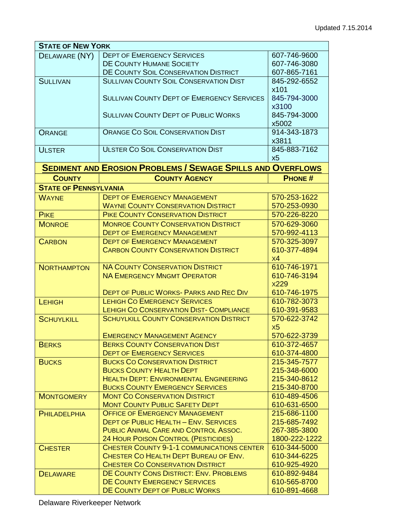| <b>STATE OF NEW YORK</b>     |                                                                                  |                              |
|------------------------------|----------------------------------------------------------------------------------|------------------------------|
| DELAWARE (NY)                | <b>DEPT OF EMERGENCY SERVICES</b>                                                | 607-746-9600                 |
|                              | <b>DE COUNTY HUMANE SOCIETY</b>                                                  | 607-746-3080                 |
|                              | DE COUNTY SOIL CONSERVATION DISTRICT                                             | 607-865-7161                 |
| <b>SULLIVAN</b>              | <b>SULLIVAN COUNTY SOIL CONSERVATION DIST</b>                                    | 845-292-6552                 |
|                              |                                                                                  | x101                         |
|                              | <b>SULLIVAN COUNTY DEPT OF EMERGENCY SERVICES</b>                                | 845-794-3000                 |
|                              |                                                                                  | x3100                        |
|                              | <b>SULLIVAN COUNTY DEPT OF PUBLIC WORKS</b>                                      | 845-794-3000                 |
|                              |                                                                                  | x5002                        |
| <b>ORANGE</b>                | <b>ORANGE CO SOIL CONSERVATION DIST</b>                                          | 914-343-1873                 |
|                              |                                                                                  | x3811                        |
| <b>ULSTER</b>                | <b>ULSTER CO SOIL CONSERVATION DIST</b>                                          | 845-883-7162                 |
|                              |                                                                                  | x5                           |
|                              | <b>SEDIMENT AND EROSION PROBLEMS / SEWAGE SPILLS AND OVERFLOWS</b>               |                              |
| <b>COUNTY</b>                | <b>COUNTY AGENCY</b>                                                             | <b>PHONE#</b>                |
| <b>STATE OF PENNSYLVANIA</b> |                                                                                  |                              |
| <b>WAYNE</b>                 | <b>DEPT OF EMERGENCY MANAGEMENT</b>                                              | 570-253-1622                 |
|                              | <b>WAYNE COUNTY CONSERVATION DISTRICT</b>                                        | 570-253-0930                 |
| <b>PIKE</b>                  | <b>PIKE COUNTY CONSERVATION DISTRICT</b>                                         | 570-226-8220                 |
| <b>MONROE</b>                | <b>MONROE COUNTY CONSERVATION DISTRICT</b>                                       | 570-629-3060                 |
|                              | <b>DEPT OF EMERGENCY MANAGEMENT</b>                                              | 570-992-4113                 |
| <b>CARBON</b>                | <b>DEPT OF EMERGENCY MANAGEMENT</b>                                              | 570-325-3097                 |
|                              | <b>CARBON COUNTY CONSERVATION DISTRICT</b>                                       | 610-377-4894                 |
|                              |                                                                                  | x4                           |
| <b>NORTHAMPTON</b>           | <b>NA COUNTY CONSERVATION DISTRICT</b>                                           | 610-746-1971                 |
|                              | <b>NA EMERGENCY MNGMT OPERATOR</b>                                               | 610-746-3194                 |
|                              |                                                                                  | <b>X229</b>                  |
|                              | <b>DEPT OF PUBLIC WORKS- PARKS AND REC DIV</b>                                   | 610-746-1975                 |
| LEHIGH                       | <b>LEHIGH CO EMERGENCY SERVICES</b>                                              | 610-782-3073                 |
|                              | <b>LEHIGH CO CONSERVATION DIST- COMPLIANCE</b>                                   | 610-391-9583                 |
| <b>SCHUYLKILL</b>            | <b>SCHUYLKILL COUNTY CONSERVATION DISTRICT</b>                                   | 570-622-3742                 |
|                              |                                                                                  | X <sub>5</sub>               |
|                              | <b>EMERGENCY MANAGEMENT AGENCY</b>                                               | 570-622-3739                 |
| <b>BERKS</b>                 | <b>BERKS COUNTY CONSERVATION DIST</b>                                            | 610-372-4657                 |
|                              | <b>DEPT OF EMERGENCY SERVICES</b>                                                | 610-374-4800                 |
| <b>BUCKS</b>                 | <b>BUCKS CO CONSERVATION DISTRICT</b>                                            | 215-345-7577                 |
|                              | <b>BUCKS COUNTY HEALTH DEPT</b><br><b>HEALTH DEPT: ENVIRONMENTAL ENGINEERING</b> | 215-348-6000                 |
|                              | <b>BUCKS COUNTY EMERGENCY SERVICES</b>                                           | 215-340-8612<br>215-340-8700 |
| <b>MONTGOMERY</b>            | <b>MONT CO CONSERVATION DISTRICT</b>                                             | 610-489-4506                 |
|                              | <b>MONT COUNTY PUBLIC SAFETY DEPT</b>                                            | 610-631-6500                 |
| <b>PHILADELPHIA</b>          | <b>OFFICE OF EMERGENCY MANAGEMENT</b>                                            | 215-686-1100                 |
|                              | <b>DEPT OF PUBLIC HEALTH - ENV. SERVICES</b>                                     | 215-685-7492                 |
|                              | PUBLIC ANIMAL CARE AND CONTROL ASSOC.                                            | 267-385-3800                 |
|                              | <b>24 HOUR POISON CONTROL (PESTICIDES)</b>                                       | 1800-222-1222                |
| <b>CHESTER</b>               | <b>CHESTER COUNTY 9-1-1 COMMUNICATIONS CENTER</b>                                | 610-344-5000                 |
|                              | CHESTER CO HEALTH DEPT BUREAU OF ENV.                                            | 610-344-6225                 |
|                              | <b>CHESTER CO CONSERVATION DISTRICT</b>                                          | 610-925-4920                 |
| <b>DELAWARE</b>              | DE COUNTY CONS DISTRICT: ENV. PROBLEMS                                           | 610-892-9484                 |
|                              | DE COUNTY EMERGENCY SERVICES                                                     | 610-565-8700                 |
|                              | DE COUNTY DEPT OF PUBLIC WORKS                                                   | 610-891-4668                 |